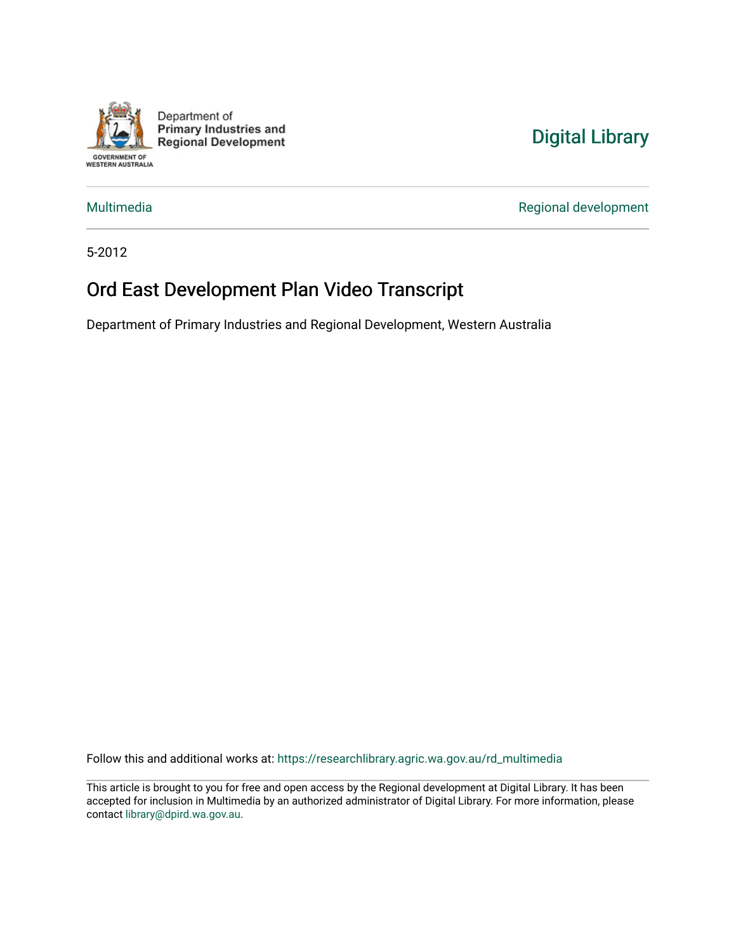

Department of **Primary Industries and Regional Development** 

## [Digital Library](https://researchlibrary.agric.wa.gov.au/)

[Multimedia](https://researchlibrary.agric.wa.gov.au/rd_multimedia) **Multimedia** Regional development

5-2012

## Ord East Development Plan Video Transcript

Department of Primary Industries and Regional Development, Western Australia

Follow this and additional works at: [https://researchlibrary.agric.wa.gov.au/rd\\_multimedia](https://researchlibrary.agric.wa.gov.au/rd_multimedia?utm_source=researchlibrary.agric.wa.gov.au%2Frd_multimedia%2F2&utm_medium=PDF&utm_campaign=PDFCoverPages)

This article is brought to you for free and open access by the Regional development at Digital Library. It has been accepted for inclusion in Multimedia by an authorized administrator of Digital Library. For more information, please contact [library@dpird.wa.gov.au](mailto:library@dpird.wa.gov.au).